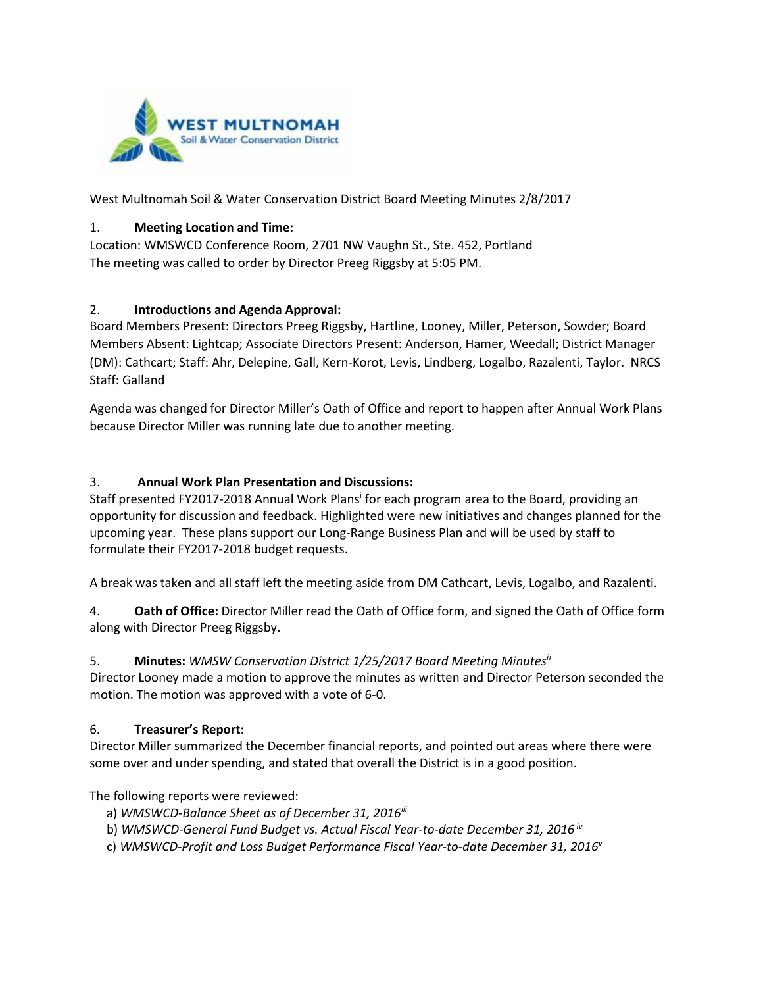

West Multnomah Soil & Water Conservation District Board Meeting Minutes 2/8/2017

#### 1. **Meeting Location and Time:**

Location: WMSWCD Conference Room, 2701 NW Vaughn St., Ste. 452, Portland The meeting was called to order by Director Preeg Riggsby at 5:05 PM.

#### 2. **Introductions and Agenda Approval:**

Board Members Present: Directors Preeg Riggsby, Hartline, Looney, Miller, Peterson, Sowder; Board Members Absent: Lightcap; Associate Directors Present: Anderson, Hamer, Weedall; District Manager (DM): Cathcart; Staff: Ahr, Delepine, Gall, Kern-Korot, Levis, Lindberg, Logalbo, Razalenti, Taylor. NRCS Staff: Galland

Agenda was changed for Director Miller's Oath of Office and report to happen after Annual Work Plans because Director Miller was running late due to another meeting.

#### 3. **Annual Work Plan Presentation and Discussions:**

Staff presented FY2017-2018 Annual Work Plans<sup>i</sup> for each program area to the Board, providing an opportunity for discussion and feedback. Highlighted were new initiatives and changes planned for the upcoming year. These plans support our Long-Range Business Plan and will be used by staff to formulate their FY2017-2018 budget requests.

A break was taken and all staff left the meeting aside from DM Cathcart, Levis, Logalbo, and Razalenti.

4. **Oath of Office:** Director Miller read the Oath of Office form, and signed the Oath of Office form along with Director Preeg Riggsby.

#### 5. **Minutes:** *WMSW Conservation District 1/25/2017 Board Meeting Minutesi[i](#page-2-0)*

Director Looney made a motion to approve the minutes as written and Director Peterson seconded the motion. The motion was approved with a vote of 6-0.

#### 6. **Treasurer's Report:**

Director Miller summarized the December financial reports, and pointed out areas where there were some over and under spending, and stated that overall the District is in a good position.

The following reports were reviewed:

- a) *WMSWCD-Balance Sheet as of December 31, 2016iii*
- b) *WMSWCD-General Fund Budget vs. Actual Fiscal Year-to-date December 31, 2016 iv*
- c) *WMSWCD-Profit and Loss Budget Performance Fiscal Year-to-date December 31, 2016v*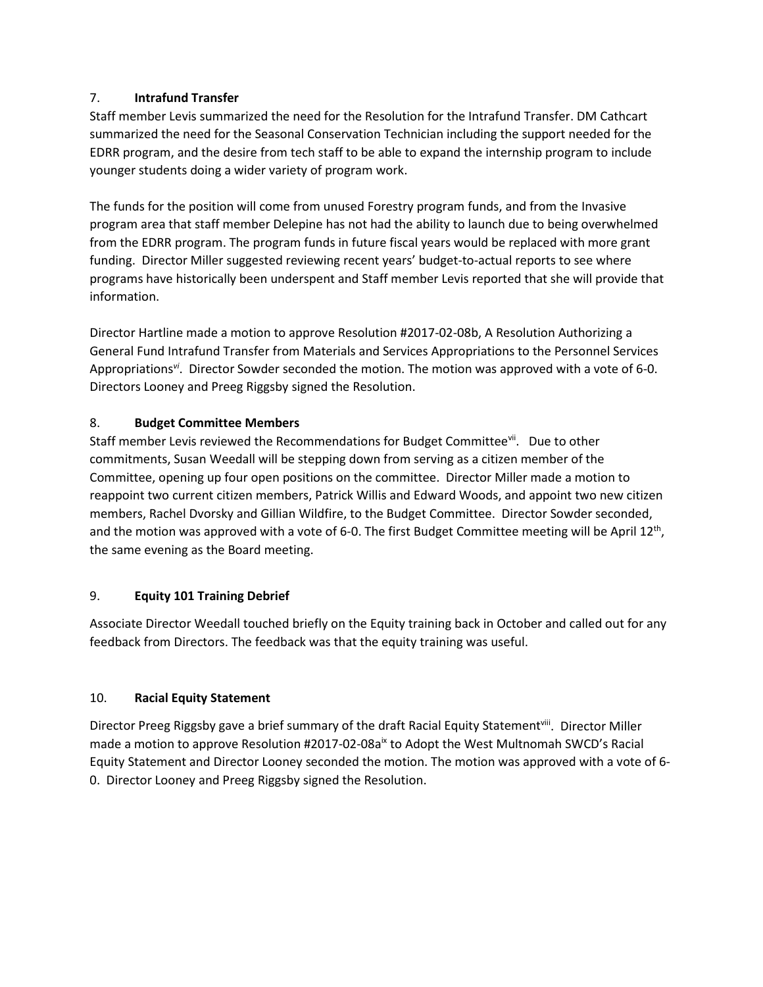# 7. **Intrafund Transfer**

Staff member Levis summarized the need for the Resolution for the Intrafund Transfer. DM Cathcart summarized the need for the Seasonal Conservation Technician including the support needed for the EDRR program, and the desire from tech staff to be able to expand the internship program to include younger students doing a wider variety of program work.

The funds for the position will come from unused Forestry program funds, and from the Invasive program area that staff member Delepine has not had the ability to launch due to being overwhelmed from the EDRR program. The program funds in future fiscal years would be replaced with more grant funding. Director Miller suggested reviewing recent years' budget-to-actual reports to see where programs have historically been underspent and Staff member Levis reported that she will provide that information.

Director Hartline made a motion to approve Resolution #2017-02-08b, A Resolution Authorizing a General Fund Intrafund Transfer from Materials and Services Appropriations to the Personnel Services Appropriations*vi*. Director Sowder seconded the motion. The motion was approved with a vote of 6-0. Directors Looney and Preeg Riggsby signed the Resolution.

# 8. **Budget Committee Members**

Staff member Levis reviewed the Recommendations for Budget Committeevil. Due to other commitments, Susan Weedall will be stepping down from serving as a citizen member of the Committee, opening up four open positions on the committee. Director Miller made a motion to reappoint two current citizen members, Patrick Willis and Edward Woods, and appoint two new citizen members, Rachel Dvorsky and Gillian Wildfire, to the Budget Committee. Director Sowder seconded, and the motion was approved with a vote of 6-0. The first Budget Committee meeting will be April 12<sup>th</sup>, the same evening as the Board meeting.

# 9. **Equity 101 Training Debrief**

Associate Director Weedall touched briefly on the Equity training back in October and called out for any feedback from Directors. The feedback was that the equity training was useful.

# 10. **Racial Equity Statement**

Director Preeg Riggsby gave a brief summary of the draft Racial Equity Statement<sup>viii</sup>. Director Miller made a motion to approve Resolution #2017-02-08a<sup>ix</sup> to Adopt the West Multnomah SWCD's Racial Equity Statement and Director Looney seconded the motion. The motion was approved with a vote of 6- 0. Director Looney and Preeg Riggsby signed the Resolution.